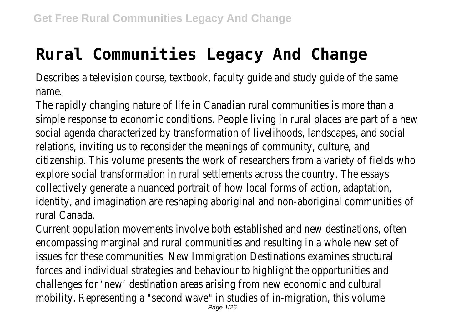## **Rural Communities Legacy And Change**

Describes a television course, textbook, faculty guide and study guide of name.

The rapidly changing nature of life in Canadian rural communities is mo simple response to economic conditions. People living in rural places are part social agenda characterized by transformation of livelihoods, landscapes, and social relations, inviting us to reconsider the meanings of community, cult citizenship. This volume presents the work of researchers from a variety of f explore social transformation in rural settlements across the country. The essays explore social collectively generate a nuanced portrait of how local forms of action, adaptation, and identity, and imagination are reshaping aboriginal and non-aboriginal comm rural Canada

Current population movements involve both established and new destination encompassing marginal and rural communities and resulting in a whole new issues for these communities. New Immigration Destinations examines structural forces and individual strategies and behaviour to highlight the opporturities challenges for 'new' destination areas arising from new economic and mobility. Representing a "second wave" in studies of in-migration, this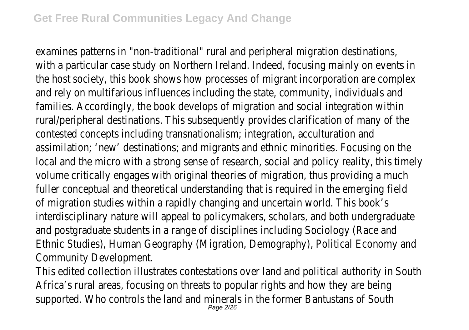examines patterns in "non-traditional" rural and peripheral migration destinations with a particular case study on Northern Ireland. Indeed, focusing mainly on the host society, this book shows how processes of migrant incorporation are and rely on multifarious influences including the state, community, individual families. Accordingly, the book develops of migration and social integration rural/peripheral destinations. This subsequently provides clarification of many of the contested concepts including transnationalism; integration, acculturation and assimilation; 'new' destinations; and migrants and ethnic minorities. Focusing local and the micro with a strong sense of research, social and policy reality, the volume critically engages with original theories of migration, thus providin fuller conceptual and theoretical understanding that is required in the emerging fuller of migration studies within a rapidly changing and uncertain world. The interdisciplinary nature will appeal to policymakers, scholars, and both under and postgraduate students in a range of disciplines including Sociology ( Ethnic Studies), Human Geography (Migration, Demography), Political Economy Community Developme

This edited collection illustrates contestations over land and political authorited Africa's rural areas, focusing on threats to popular rights and how they supported. Who controls the land and minerals in the former Bantustans Page 2/26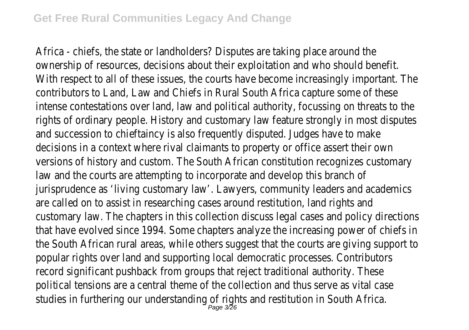Africa - chiefs, the state or landholders? Disputes are taking place are ownership of resources, decisions about their exploitation and who shoul With respect to all of these issues, the courts have become increasingly import. contributors to Land, Law and Chiefs in Rural South Africa capture some intense contestations over land, law and political authority, focussing on thre rights of ordinary people. History and customary law feature strongly in most and succession to chieftaincy is also frequently disputed. Judges have decisions in a context where rival claimants to property or office assert versions of history and custom. The South African constitution recognizes or law and the courts are attempting to incorporate and develop this b jurisprudence as 'living customary law'. Lawyers, community leaders and a are called on to assist in researching cases around restitution, land rights customary law. The chapters in this collection discuss legal cases and policy that have evolved since 1994. Some chapters analyze the increasing power of the South African rural areas, while others suggest that the courts are giving stops. popular rights over land and supporting local democratic processes. Containrecord significant pushback from groups that reject traditional authority. political tensions are a central theme of the collection and thus serve as studies in furthering our understanding of rights and restitution in South Africa. Page 3/26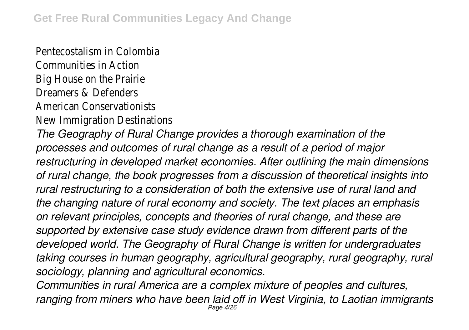Pentecostalism in Colom

Communities in Acti

Big House on the Prair

Dreamers & Defende

American Conservationis

New Immigration Destination

*The Geography of Rural Change provides a thorough examination of the processes and outcomes of rural change as a result of a period of major restructuring in developed market economies. After outlining the main dimensions of rural change, the book progresses from a discussion of theoretical insights into rural restructuring to a consideration of both the extensive use of rural land and the changing nature of rural economy and society. The text places an emphasis on relevant principles, concepts and theories of rural change, and these are supported by extensive case study evidence drawn from different parts of the developed world. The Geography of Rural Change is written for undergraduates taking courses in human geography, agricultural geography, rural geography, rural sociology, planning and agricultural economics.*

*Communities in rural America are a complex mixture of peoples and cultures, ranging from miners who have been laid off in West Virginia, to Laotian immigrants* Page 4/26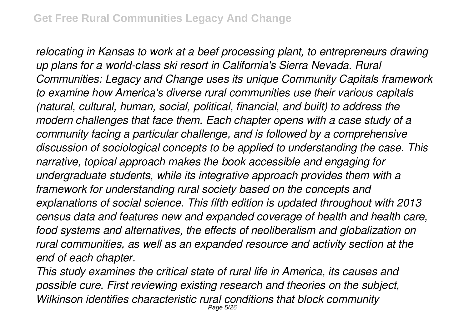*relocating in Kansas to work at a beef processing plant, to entrepreneurs drawing up plans for a world-class ski resort in California's Sierra Nevada. Rural Communities: Legacy and Change uses its unique Community Capitals framework to examine how America's diverse rural communities use their various capitals (natural, cultural, human, social, political, financial, and built) to address the modern challenges that face them. Each chapter opens with a case study of a community facing a particular challenge, and is followed by a comprehensive discussion of sociological concepts to be applied to understanding the case. This narrative, topical approach makes the book accessible and engaging for undergraduate students, while its integrative approach provides them with a framework for understanding rural society based on the concepts and explanations of social science. This fifth edition is updated throughout with 2013 census data and features new and expanded coverage of health and health care, food systems and alternatives, the effects of neoliberalism and globalization on rural communities, as well as an expanded resource and activity section at the end of each chapter.*

*This study examines the critical state of rural life in America, its causes and possible cure. First reviewing existing research and theories on the subject, Wilkinson identifies characteristic rural conditions that block community* Page 5/26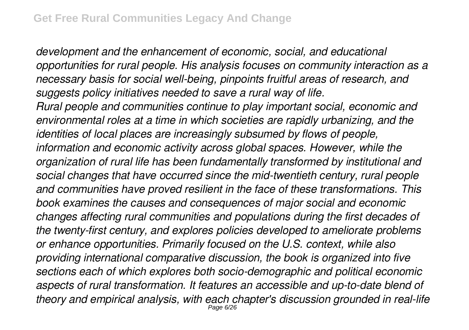*development and the enhancement of economic, social, and educational opportunities for rural people. His analysis focuses on community interaction as a necessary basis for social well-being, pinpoints fruitful areas of research, and suggests policy initiatives needed to save a rural way of life. Rural people and communities continue to play important social, economic and environmental roles at a time in which societies are rapidly urbanizing, and the identities of local places are increasingly subsumed by flows of people, information and economic activity across global spaces. However, while the organization of rural life has been fundamentally transformed by institutional and social changes that have occurred since the mid-twentieth century, rural people and communities have proved resilient in the face of these transformations. This book examines the causes and consequences of major social and economic changes affecting rural communities and populations during the first decades of the twenty-first century, and explores policies developed to ameliorate problems or enhance opportunities. Primarily focused on the U.S. context, while also providing international comparative discussion, the book is organized into five sections each of which explores both socio-demographic and political economic aspects of rural transformation. It features an accessible and up-to-date blend of theory and empirical analysis, with each chapter's discussion grounded in real-life* Page 6/26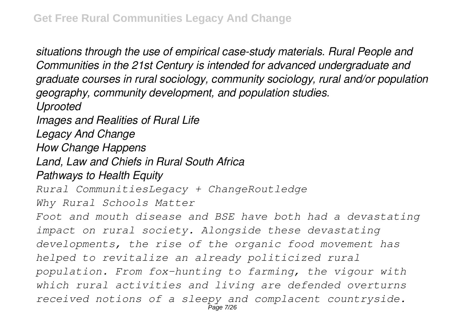*situations through the use of empirical case-study materials. Rural People and Communities in the 21st Century is intended for advanced undergraduate and graduate courses in rural sociology, community sociology, rural and/or population geography, community development, and population studies. Uprooted Images and Realities of Rural Life Legacy And Change How Change Happens Land, Law and Chiefs in Rural South Africa Pathways to Health Equity Rural CommunitiesLegacy + ChangeRoutledge Why Rural Schools Matter Foot and mouth disease and BSE have both had a devastating impact on rural society. Alongside these devastating developments, the rise of the organic food movement has helped to revitalize an already politicized rural population. From fox-hunting to farming, the vigour with which rural activities and living are defended overturns received notions of a sleepy and complacent countryside.* Page 7/26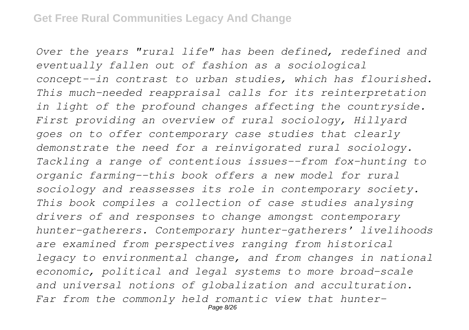*Over the years "rural life" has been defined, redefined and eventually fallen out of fashion as a sociological concept--in contrast to urban studies, which has flourished. This much-needed reappraisal calls for its reinterpretation in light of the profound changes affecting the countryside. First providing an overview of rural sociology, Hillyard goes on to offer contemporary case studies that clearly demonstrate the need for a reinvigorated rural sociology. Tackling a range of contentious issues--from fox-hunting to organic farming--this book offers a new model for rural sociology and reassesses its role in contemporary society. This book compiles a collection of case studies analysing drivers of and responses to change amongst contemporary hunter-gatherers. Contemporary hunter-gatherers' livelihoods are examined from perspectives ranging from historical legacy to environmental change, and from changes in national economic, political and legal systems to more broad-scale and universal notions of globalization and acculturation. Far from the commonly held romantic view that hunter-*Page 8/26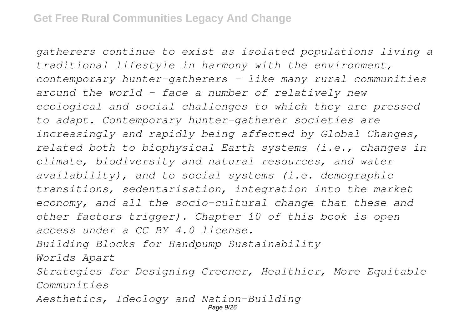*gatherers continue to exist as isolated populations living a traditional lifestyle in harmony with the environment, contemporary hunter-gatherers – like many rural communities around the world - face a number of relatively new ecological and social challenges to which they are pressed to adapt. Contemporary hunter-gatherer societies are increasingly and rapidly being affected by Global Changes, related both to biophysical Earth systems (i.e., changes in climate, biodiversity and natural resources, and water availability), and to social systems (i.e. demographic transitions, sedentarisation, integration into the market economy, and all the socio-cultural change that these and other factors trigger). Chapter 10 of this book is open access under a CC BY 4.0 license. Building Blocks for Handpump Sustainability Worlds Apart Strategies for Designing Greener, Healthier, More Equitable Communities*

*Aesthetics, Ideology and Nation-Building*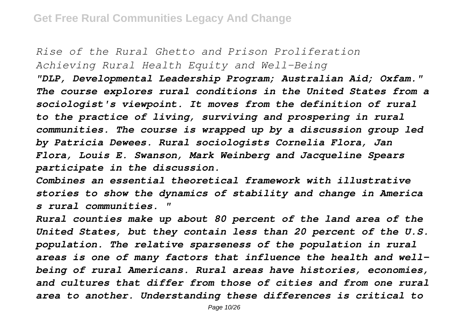*Rise of the Rural Ghetto and Prison Proliferation Achieving Rural Health Equity and Well-Being "DLP, Developmental Leadership Program; Australian Aid; Oxfam." The course explores rural conditions in the United States from a sociologist's viewpoint. It moves from the definition of rural to the practice of living, surviving and prospering in rural communities. The course is wrapped up by a discussion group led by Patricia Dewees. Rural sociologists Cornelia Flora, Jan Flora, Louis E. Swanson, Mark Weinberg and Jacqueline Spears participate in the discussion.*

*Combines an essential theoretical framework with illustrative stories to show the dynamics of stability and change in America s rural communities. "*

*Rural counties make up about 80 percent of the land area of the United States, but they contain less than 20 percent of the U.S. population. The relative sparseness of the population in rural areas is one of many factors that influence the health and wellbeing of rural Americans. Rural areas have histories, economies, and cultures that differ from those of cities and from one rural area to another. Understanding these differences is critical to*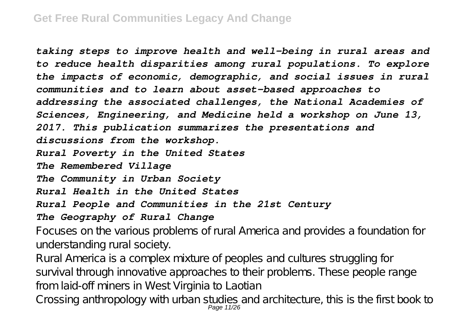*taking steps to improve health and well-being in rural areas and to reduce health disparities among rural populations. To explore the impacts of economic, demographic, and social issues in rural communities and to learn about asset-based approaches to addressing the associated challenges, the National Academies of Sciences, Engineering, and Medicine held a workshop on June 13, 2017. This publication summarizes the presentations and discussions from the workshop. Rural Poverty in the United States The Remembered Village The Community in Urban Society Rural Health in the United States Rural People and Communities in the 21st Century The Geography of Rural Change*

Focuses on the various problems of rural America and provides a foundation for understanding rural society.

Rural America is a complex mixture of peoples and cultures struggling for survival through innovative approaches to their problems. These people range from laid-off miners in West Virginia to Laotian

Crossing anthropology with urban studies and architecture, this is the first book to Page 11/26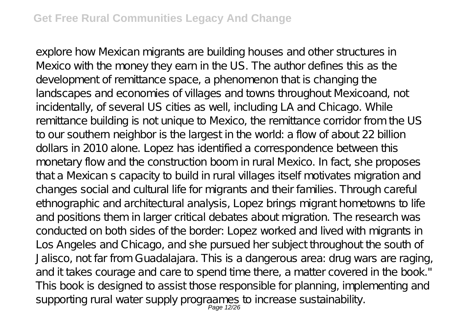explore how Mexican migrants are building houses and other structures in Mexico with the money they earn in the US. The author defines this as the development of remittance space, a phenomenon that is changing the landscapes and economies of villages and towns throughout Mexicoand, not incidentally, of several US cities as well, including LA and Chicago. While remittance building is not unique to Mexico, the remittance corridor from the US to our southern neighbor is the largest in the world: a flow of about 22 billion dollars in 2010 alone. Lopez has identified a correspondence between this monetary flow and the construction boom in rural Mexico. In fact, she proposes that a Mexican s capacity to build in rural villages itself motivates migration and changes social and cultural life for migrants and their families. Through careful ethnographic and architectural analysis, Lopez brings migrant hometowns to life and positions them in larger critical debates about migration. The research was conducted on both sides of the border: Lopez worked and lived with migrants in Los Angeles and Chicago, and she pursued her subject throughout the south of Jalisco, not far from Guadalajara. This is a dangerous area: drug wars are raging, and it takes courage and care to spend time there, a matter covered in the book." This book is designed to assist those responsible for planning, implementing and supporting rural water supply prograames to increase sustainability.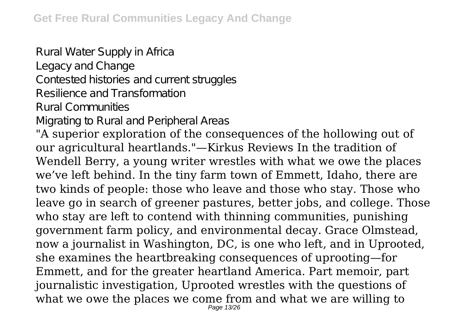Rural Water Supply in Africa Legacy and Change Contested histories and current struggles

Resilience and Transformation

Rural Communities

Migrating to Rural and Peripheral Areas

"A superior exploration of the consequences of the hollowing out of our agricultural heartlands."—Kirkus Reviews In the tradition of Wendell Berry, a young writer wrestles with what we owe the places we've left behind. In the tiny farm town of Emmett, Idaho, there are two kinds of people: those who leave and those who stay. Those who leave go in search of greener pastures, better jobs, and college. Those who stay are left to contend with thinning communities, punishing government farm policy, and environmental decay. Grace Olmstead, now a journalist in Washington, DC, is one who left, and in Uprooted, she examines the heartbreaking consequences of uprooting—for Emmett, and for the greater heartland America. Part memoir, part journalistic investigation, Uprooted wrestles with the questions of what we owe the places we come from and what we are willing to Page 13/26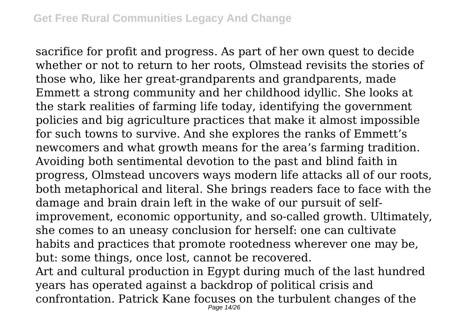sacrifice for profit and progress. As part of her own quest to decide whether or not to return to her roots, Olmstead revisits the stories of those who, like her great-grandparents and grandparents, made Emmett a strong community and her childhood idyllic. She looks at the stark realities of farming life today, identifying the government policies and big agriculture practices that make it almost impossible for such towns to survive. And she explores the ranks of Emmett's newcomers and what growth means for the area's farming tradition. Avoiding both sentimental devotion to the past and blind faith in progress, Olmstead uncovers ways modern life attacks all of our roots, both metaphorical and literal. She brings readers face to face with the damage and brain drain left in the wake of our pursuit of selfimprovement, economic opportunity, and so-called growth. Ultimately, she comes to an uneasy conclusion for herself: one can cultivate habits and practices that promote rootedness wherever one may be, but: some things, once lost, cannot be recovered.

Art and cultural production in Egypt during much of the last hundred years has operated against a backdrop of political crisis and confrontation. Patrick Kane focuses on the turbulent changes of the Page 14/26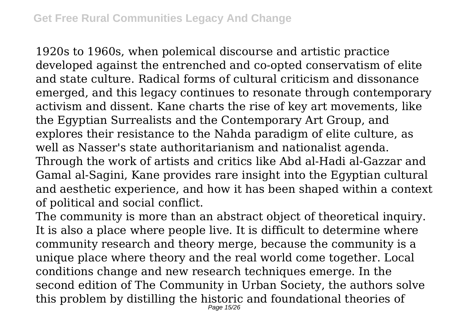1920s to 1960s, when polemical discourse and artistic practice developed against the entrenched and co-opted conservatism of elite and state culture. Radical forms of cultural criticism and dissonance emerged, and this legacy continues to resonate through contemporary activism and dissent. Kane charts the rise of key art movements, like the Egyptian Surrealists and the Contemporary Art Group, and explores their resistance to the Nahda paradigm of elite culture, as well as Nasser's state authoritarianism and nationalist agenda. Through the work of artists and critics like Abd al-Hadi al-Gazzar and Gamal al-Sagini, Kane provides rare insight into the Egyptian cultural and aesthetic experience, and how it has been shaped within a context of political and social conflict.

The community is more than an abstract object of theoretical inquiry. It is also a place where people live. It is difficult to determine where community research and theory merge, because the community is a unique place where theory and the real world come together. Local conditions change and new research techniques emerge. In the second edition of The Community in Urban Society, the authors solve this problem by distilling the historic and foundational theories of Page 15/26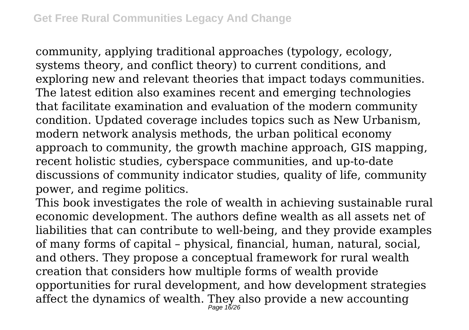community, applying traditional approaches (typology, ecology, systems theory, and conflict theory) to current conditions, and exploring new and relevant theories that impact todays communities. The latest edition also examines recent and emerging technologies that facilitate examination and evaluation of the modern community condition. Updated coverage includes topics such as New Urbanism, modern network analysis methods, the urban political economy approach to community, the growth machine approach, GIS mapping, recent holistic studies, cyberspace communities, and up-to-date discussions of community indicator studies, quality of life, community power, and regime politics.

This book investigates the role of wealth in achieving sustainable rural economic development. The authors define wealth as all assets net of liabilities that can contribute to well-being, and they provide examples of many forms of capital – physical, financial, human, natural, social, and others. They propose a conceptual framework for rural wealth creation that considers how multiple forms of wealth provide opportunities for rural development, and how development strategies affect the dynamics of wealth. They also provide a new accounting Page 16/26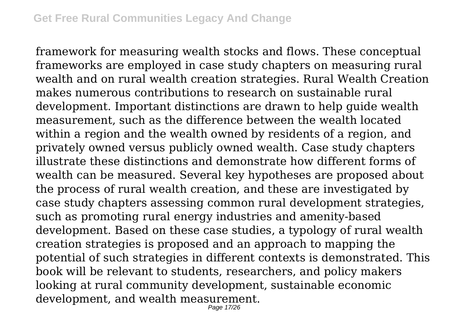framework for measuring wealth stocks and flows. These conceptual frameworks are employed in case study chapters on measuring rural wealth and on rural wealth creation strategies. Rural Wealth Creation makes numerous contributions to research on sustainable rural development. Important distinctions are drawn to help guide wealth measurement, such as the difference between the wealth located within a region and the wealth owned by residents of a region, and privately owned versus publicly owned wealth. Case study chapters illustrate these distinctions and demonstrate how different forms of wealth can be measured. Several key hypotheses are proposed about the process of rural wealth creation, and these are investigated by case study chapters assessing common rural development strategies, such as promoting rural energy industries and amenity-based development. Based on these case studies, a typology of rural wealth creation strategies is proposed and an approach to mapping the potential of such strategies in different contexts is demonstrated. This book will be relevant to students, researchers, and policy makers looking at rural community development, sustainable economic development, and wealth measurement. Page 17/26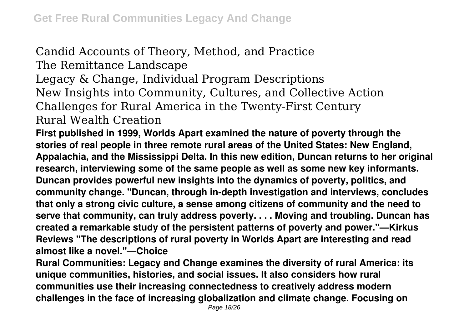## Candid Accounts of Theory, Method, and Practice The Remittance Landscape

Legacy & Change, Individual Program Descriptions New Insights into Community, Cultures, and Collective Action Challenges for Rural America in the Twenty-First Century Rural Wealth Creation

**First published in 1999, Worlds Apart examined the nature of poverty through the stories of real people in three remote rural areas of the United States: New England, Appalachia, and the Mississippi Delta. In this new edition, Duncan returns to her original research, interviewing some of the same people as well as some new key informants. Duncan provides powerful new insights into the dynamics of poverty, politics, and community change. "Duncan, through in-depth investigation and interviews, concludes that only a strong civic culture, a sense among citizens of community and the need to serve that community, can truly address poverty. . . . Moving and troubling. Duncan has created a remarkable study of the persistent patterns of poverty and power."—Kirkus Reviews "The descriptions of rural poverty in Worlds Apart are interesting and read almost like a novel."—Choice**

**Rural Communities: Legacy and Change examines the diversity of rural America: its unique communities, histories, and social issues. It also considers how rural communities use their increasing connectedness to creatively address modern challenges in the face of increasing globalization and climate change. Focusing on**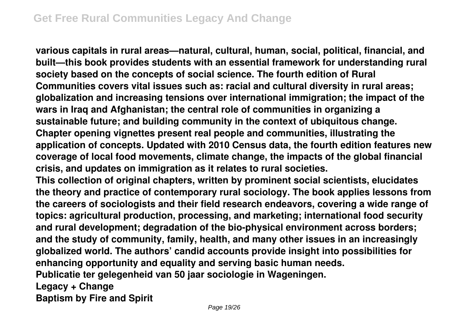**various capitals in rural areas—natural, cultural, human, social, political, financial, and built—this book provides students with an essential framework for understanding rural society based on the concepts of social science. The fourth edition of Rural Communities covers vital issues such as: racial and cultural diversity in rural areas; globalization and increasing tensions over international immigration; the impact of the wars in Iraq and Afghanistan; the central role of communities in organizing a sustainable future; and building community in the context of ubiquitous change. Chapter opening vignettes present real people and communities, illustrating the application of concepts. Updated with 2010 Census data, the fourth edition features new coverage of local food movements, climate change, the impacts of the global financial crisis, and updates on immigration as it relates to rural societies.**

**This collection of original chapters, written by prominent social scientists, elucidates the theory and practice of contemporary rural sociology. The book applies lessons from the careers of sociologists and their field research endeavors, covering a wide range of topics: agricultural production, processing, and marketing; international food security and rural development; degradation of the bio-physical environment across borders; and the study of community, family, health, and many other issues in an increasingly globalized world. The authors' candid accounts provide insight into possibilities for enhancing opportunity and equality and serving basic human needs. Publicatie ter gelegenheid van 50 jaar sociologie in Wageningen. Legacy + Change Baptism by Fire and Spirit**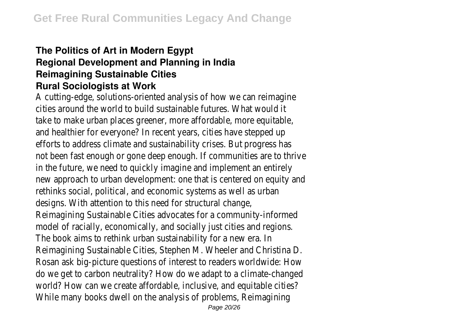## **The Politics of Art in Modern Egypt Regional Development and Planning in India Reimagining Sustainable Cities Rural Sociologists at Work**

A cutting-edge, solutions-oriented analysis of how we can reimagine cities around the world to build sustainable futures. What would it take to make urban places greener, more affordable, more equitable, and healthier for everyone? In recent years, cities have stepped up efforts to address climate and sustainability crises. But progress has not been fast enough or gone deep enough. If communities are to thrive in the future, we need to quickly imagine and implement an entirely new approach to urban development: one that is centered on equity and rethinks social, political, and economic systems as well as urban designs. With attention to this need for structural change, Reimagining Sustainable Cities advocates for a community-informed model of racially, economically, and socially just cities and regions. The book aims to rethink urban sustainability for a new era. In Reimagining Sustainable Cities, Stephen M. Wheeler and Christina D. Rosan ask big-picture questions of interest to readers worldwide: How do we get to carbon neutrality? How do we adapt to a climate-changed world? How can we create affordable, inclusive, and equitable cities? While many books dwell on the analysis of problems, Reimagining Page 20/26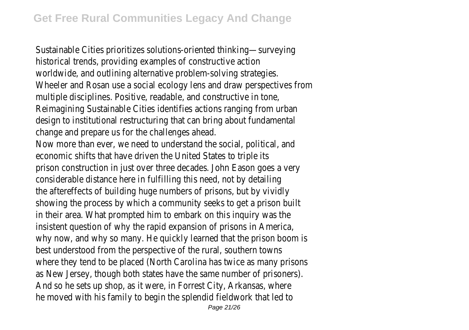Sustainable Cities prioritizes solutions-oriented thinking—surveying historical trends, providing examples of constructive action worldwide, and outlining alternative problem-solving strategies. Wheeler and Rosan use a social ecology lens and draw perspectives from multiple disciplines. Positive, readable, and constructive in tone, Reimagining Sustainable Cities identifies actions ranging from urban design to institutional restructuring that can bring about fundamental change and prepare us for the challenges ahead. Now more than ever, we need to understand the social, political, and economic shifts that have driven the United States to triple its prison construction in just over three decades. John Eason goes a very considerable distance here in fulfilling this need, not by detailing the aftereffects of building huge numbers of prisons, but by vividly showing the process by which a community seeks to get a prison built in their area. What prompted him to embark on this inquiry was the insistent question of why the rapid expansion of prisons in America, why now, and why so many. He quickly learned that the prison boom is best understood from the perspective of the rural, southern towns where they tend to be placed (North Carolina has twice as many prisons as New Jersey, though both states have the same number of prisoners). And so he sets up shop, as it were, in Forrest City, Arkansas, where he moved with his family to begin the splendid fieldwork that led to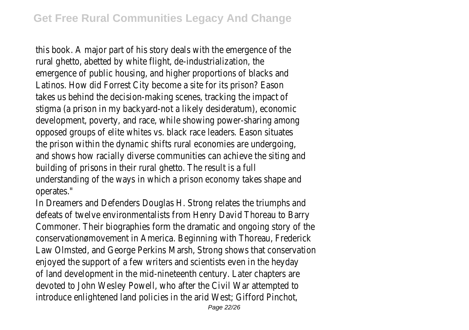this book. A major part of his story deals with the emergence of the rural ghetto, abetted by white flight, de-industrialization, the emergence of public housing, and higher proportions of blacks and Latinos. How did Forrest City become a site for its prison? Eason takes us behind the decision-making scenes, tracking the impact of stigma (a prison in my backyard-not a likely desideratum), economic development, poverty, and race, while showing power-sharing among opposed groups of elite whites vs. black race leaders. Eason situates the prison within the dynamic shifts rural economies are undergoing, and shows how racially diverse communities can achieve the siting and building of prisons in their rural ghetto. The result is a full understanding of the ways in which a prison economy takes shape and operates."

In Dreamers and Defenders Douglas H. Strong relates the triumphs and defeats of twelve environmentalists from Henry David Thoreau to Barry Commoner. Their biographies form the dramatic and ongoing story of the conservationømovement in America. Beginning with Thoreau, Frederick Law Olmsted, and George Perkins Marsh, Strong shows that conservation enjoyed the support of a few writers and scientists even in the heyday of land development in the mid-nineteenth century. Later chapters are devoted to John Wesley Powell, who after the Civil War attempted to introduce enlightened land policies in the arid West; Gifford Pinchot,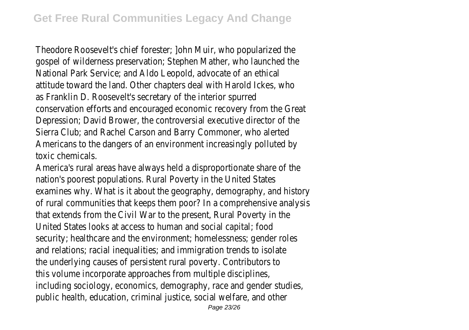Theodore Roosevelt's chief forester; ]ohn Muir, who popularized the gospel of wilderness preservation; Stephen Mather, who launched the National Park Service; and Aldo Leopold, advocate of an ethical attitude toward the land. Other chapters deal with Harold Ickes, who as Franklin D. Roosevelt's secretary of the interior spurred conservation efforts and encouraged economic recovery from the Great Depression; David Brower, the controversial executive director of the Sierra Club; and Rachel Carson and Barry Commoner, who alerted Americans to the dangers of an environment increasingly polluted by toxic chemicals.

America's rural areas have always held a disproportionate share of the nation's poorest populations. Rural Poverty in the United States examines why. What is it about the geography, demography, and history of rural communities that keeps them poor? In a comprehensive analysis that extends from the Civil War to the present, Rural Poverty in the United States looks at access to human and social capital; food security; healthcare and the environment; homelessness; gender roles and relations; racial inequalities; and immigration trends to isolate the underlying causes of persistent rural poverty. Contributors to this volume incorporate approaches from multiple disciplines, including sociology, economics, demography, race and gender studies, public health, education, criminal justice, social welfare, and other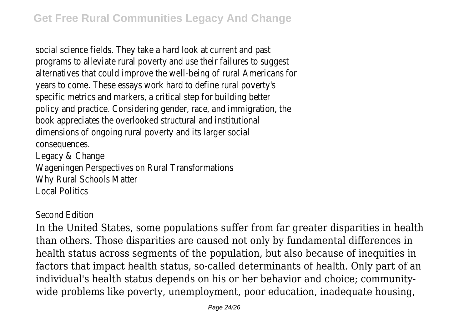social science fields. They take a hard look at current and past programs to alleviate rural poverty and use their failures to suggest alternatives that could improve the well-being of rural Americans for years to come. These essays work hard to define rural poverty's specific metrics and markers, a critical step for building better policy and practice. Considering gender, race, and immigration, the book appreciates the overlooked structural and institutional dimensions of ongoing rural poverty and its larger social consequences. Legacy & Change

Wageningen Perspectives on Rural Transformations Why Rural Schools Matter Local Politics

Second Edition

In the United States, some populations suffer from far greater disparities in health than others. Those disparities are caused not only by fundamental differences in health status across segments of the population, but also because of inequities in factors that impact health status, so-called determinants of health. Only part of an individual's health status depends on his or her behavior and choice; communitywide problems like poverty, unemployment, poor education, inadequate housing,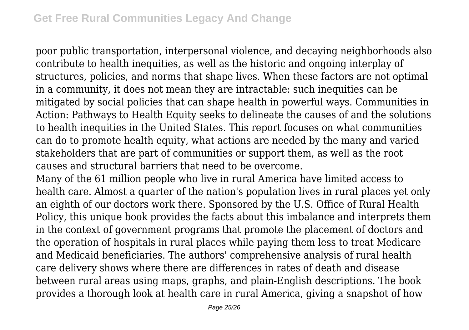poor public transportation, interpersonal violence, and decaying neighborhoods also contribute to health inequities, as well as the historic and ongoing interplay of structures, policies, and norms that shape lives. When these factors are not optimal in a community, it does not mean they are intractable: such inequities can be mitigated by social policies that can shape health in powerful ways. Communities in Action: Pathways to Health Equity seeks to delineate the causes of and the solutions to health inequities in the United States. This report focuses on what communities can do to promote health equity, what actions are needed by the many and varied stakeholders that are part of communities or support them, as well as the root causes and structural barriers that need to be overcome.

Many of the 61 million people who live in rural America have limited access to health care. Almost a quarter of the nation's population lives in rural places yet only an eighth of our doctors work there. Sponsored by the U.S. Office of Rural Health Policy, this unique book provides the facts about this imbalance and interprets them in the context of government programs that promote the placement of doctors and the operation of hospitals in rural places while paying them less to treat Medicare and Medicaid beneficiaries. The authors' comprehensive analysis of rural health care delivery shows where there are differences in rates of death and disease between rural areas using maps, graphs, and plain-English descriptions. The book provides a thorough look at health care in rural America, giving a snapshot of how